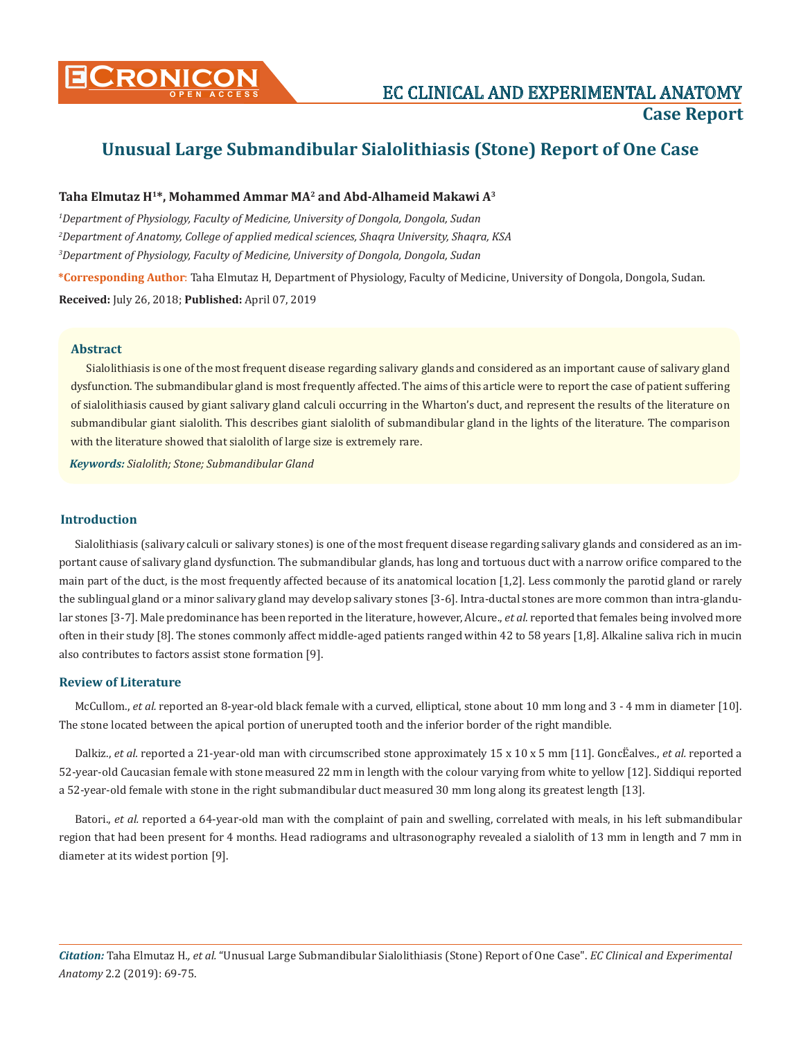

# **Unusual Large Submandibular Sialolithiasis (Stone) Report of One Case**

## **Taha Elmutaz H1\*, Mohammed Ammar MA2 and Abd-Alhameid Makawi A3**

*1 Department of Physiology, Faculty of Medicine, University of Dongola, Dongola, Sudan 2 Department of Anatomy, College of applied medical sciences, Shaqra University, Shaqra, KSA 3 Department of Physiology, Faculty of Medicine, University of Dongola, Dongola, Sudan*

**\*Corresponding Author**: Taha Elmutaz H, Department of Physiology, Faculty of Medicine, University of Dongola, Dongola, Sudan. **Received:** July 26, 2018; **Published:** April 07, 2019

#### **Abstract**

Sialolithiasis is one of the most frequent disease regarding salivary glands and considered as an important cause of salivary gland dysfunction. The submandibular gland is most frequently affected. The aims of this article were to report the case of patient suffering of sialolithiasis caused by giant salivary gland calculi occurring in the Wharton's duct, and represent the results of the literature on submandibular giant sialolith. This describes giant sialolith of submandibular gland in the lights of the literature. The comparison with the literature showed that sialolith of large size is extremely rare.

*Keywords: Sialolith; Stone; Submandibular Gland*

## **Introduction**

Sialolithiasis (salivary calculi or salivary stones) is one of the most frequent disease regarding salivary glands and considered as an important cause of salivary gland dysfunction. The submandibular glands, has long and tortuous duct with a narrow orifice compared to the main part of the duct, is the most frequently affected because of its anatomical location [1,2]. Less commonly the parotid gland or rarely the sublingual gland or a minor salivary gland may develop salivary stones [3-6]. Intra-ductal stones are more common than intra-glandular stones [3-7]. Male predominance has been reported in the literature, however, Alcure., *et al.* reported that females being involved more often in their study [8]. The stones commonly affect middle-aged patients ranged within 42 to 58 years [1,8]. Alkaline saliva rich in mucin also contributes to factors assist stone formation [9].

#### **Review of Literature**

McCullom., *et al.* reported an 8-year-old black female with a curved, elliptical, stone about 10 mm long and 3 - 4 mm in diameter [10]. The stone located between the apical portion of unerupted tooth and the inferior border of the right mandible.

Dalkiz., *et al.* reported a 21-year-old man with circumscribed stone approximately 15 x 10 x 5 mm [11]. GoncËalves., *et al.* reported a 52-year-old Caucasian female with stone measured 22 mm in length with the colour varying from white to yellow [12]. Siddiqui reported a 52-year-old female with stone in the right submandibular duct measured 30 mm long along its greatest length [13].

Batori., *et al.* reported a 64-year-old man with the complaint of pain and swelling, correlated with meals, in his left submandibular region that had been present for 4 months. Head radiograms and ultrasonography revealed a sialolith of 13 mm in length and 7 mm in diameter at its widest portion [9].

*Citation:* Taha Elmutaz H*., et al.* "Unusual Large Submandibular Sialolithiasis (Stone) Report of One Case". *EC Clinical and Experimental Anatomy* 2.2 (2019): 69-75.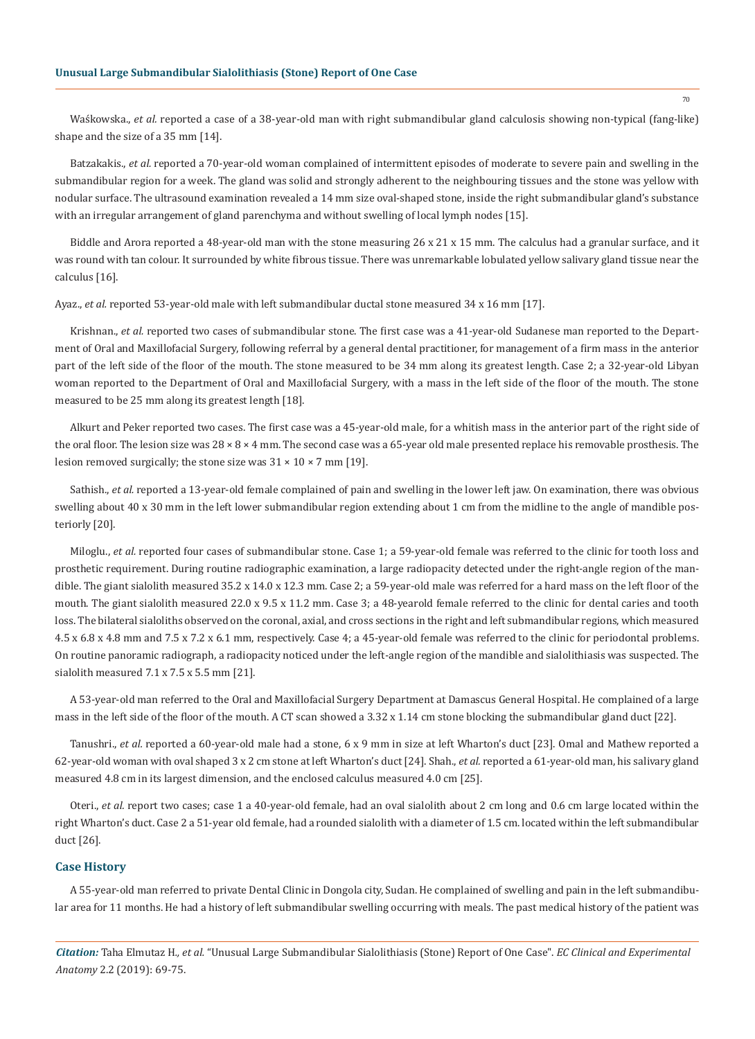Waśkowska., *et al.* reported a case of a 38-year-old man with right submandibular gland calculosis showing non-typical (fang-like) shape and the size of a 35 mm [14].

Batzakakis., *et al.* reported a 70-year-old woman complained of intermittent episodes of moderate to severe pain and swelling in the submandibular region for a week. The gland was solid and strongly adherent to the neighbouring tissues and the stone was yellow with nodular surface. The ultrasound examination revealed a 14 mm size oval-shaped stone, inside the right submandibular gland's substance with an irregular arrangement of gland parenchyma and without swelling of local lymph nodes [15].

Biddle and Arora reported a 48-year-old man with the stone measuring 26 x 21 x 15 mm. The calculus had a granular surface, and it was round with tan colour. It surrounded by white fibrous tissue. There was unremarkable lobulated yellow salivary gland tissue near the calculus [16].

Ayaz., *et al.* reported 53-year-old male with left submandibular ductal stone measured 34 x 16 mm [17].

Krishnan., *et al.* reported two cases of submandibular stone. The first case was a 41-year-old Sudanese man reported to the Department of Oral and Maxillofacial Surgery, following referral by a general dental practitioner, for management of a firm mass in the anterior part of the left side of the floor of the mouth. The stone measured to be 34 mm along its greatest length. Case 2; a 32-year-old Libyan woman reported to the Department of Oral and Maxillofacial Surgery, with a mass in the left side of the floor of the mouth. The stone measured to be 25 mm along its greatest length [18].

Alkurt and Peker reported two cases. The first case was a 45-year-old male, for a whitish mass in the anterior part of the right side of the oral floor. The lesion size was  $28 \times 8 \times 4$  mm. The second case was a 65-year old male presented replace his removable prosthesis. The lesion removed surgically; the stone size was  $31 \times 10 \times 7$  mm [19].

Sathish., *et al.* reported a 13-year-old female complained of pain and swelling in the lower left jaw. On examination, there was obvious swelling about 40 x 30 mm in the left lower submandibular region extending about 1 cm from the midline to the angle of mandible posteriorly [20].

Miloglu., *et al.* reported four cases of submandibular stone. Case 1; a 59-year-old female was referred to the clinic for tooth loss and prosthetic requirement. During routine radiographic examination, a large radiopacity detected under the right-angle region of the mandible. The giant sialolith measured 35.2 x 14.0 x 12.3 mm. Case 2; a 59-year-old male was referred for a hard mass on the left floor of the mouth. The giant sialolith measured 22.0 x 9.5 x 11.2 mm. Case 3; a 48-yearold female referred to the clinic for dental caries and tooth loss. The bilateral sialoliths observed on the coronal, axial, and cross sections in the right and left submandibular regions, which measured 4.5 x 6.8 x 4.8 mm and 7.5 x 7.2 x 6.1 mm, respectively. Case 4; a 45-year-old female was referred to the clinic for periodontal problems. On routine panoramic radiograph, a radiopacity noticed under the left-angle region of the mandible and sialolithiasis was suspected. The sialolith measured 7.1 x 7.5 x 5.5 mm [21].

A 53-year-old man referred to the Oral and Maxillofacial Surgery Department at Damascus General Hospital. He complained of a large mass in the left side of the floor of the mouth. A CT scan showed a 3.32 x 1.14 cm stone blocking the submandibular gland duct [22].

Tanushri., *et al.* reported a 60-year-old male had a stone, 6 x 9 mm in size at left Wharton's duct [23]. Omal and Mathew reported a 62-year-old woman with oval shaped 3 x 2 cm stone at left Wharton's duct [24]. Shah., *et al.* reported a 61-year-old man, his salivary gland measured 4.8 cm in its largest dimension, and the enclosed calculus measured 4.0 cm [25].

Oteri., *et al.* report two cases; case 1 a 40-year-old female, had an oval sialolith about 2 cm long and 0.6 cm large located within the right Wharton's duct. Case 2 a 51-year old female, had a rounded sialolith with a diameter of 1.5 cm. located within the left submandibular duct [26].

#### **Case History**

A 55-year-old man referred to private Dental Clinic in Dongola city, Sudan. He complained of swelling and pain in the left submandibular area for 11 months. He had a history of left submandibular swelling occurring with meals. The past medical history of the patient was

*Citation:* Taha Elmutaz H*., et al.* "Unusual Large Submandibular Sialolithiasis (Stone) Report of One Case". *EC Clinical and Experimental Anatomy* 2.2 (2019): 69-75.

70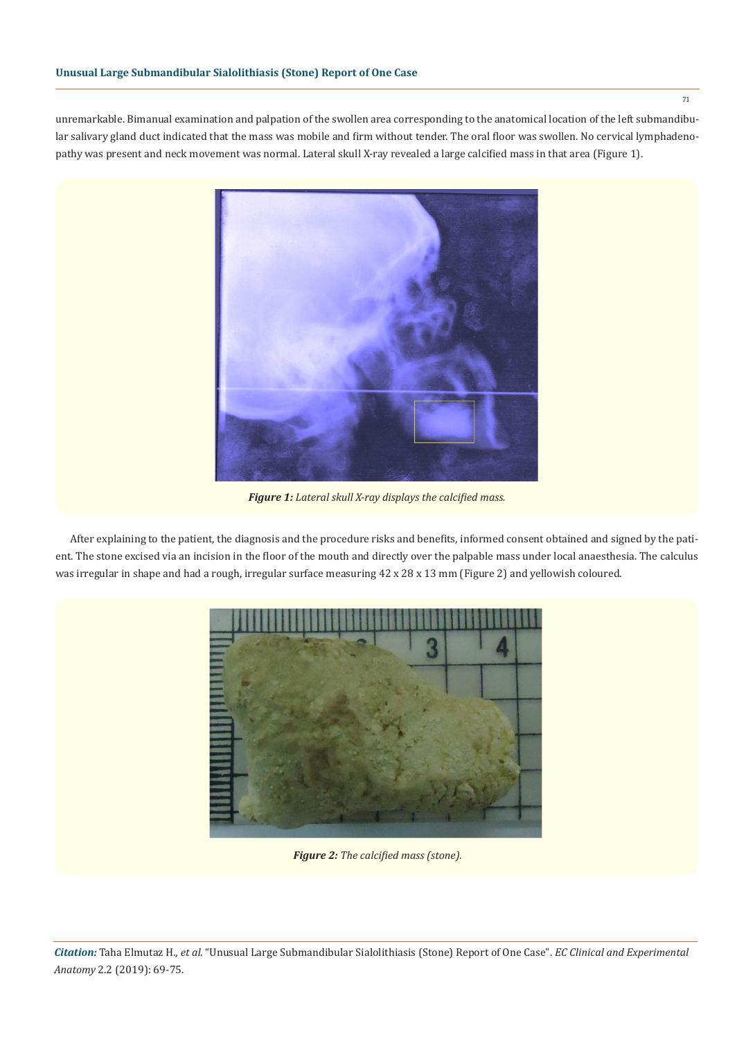unremarkable. Bimanual examination and palpation of the swollen area corresponding to the anatomical location of the left submandibular salivary gland duct indicated that the mass was mobile and firm without tender. The oral floor was swollen. No cervical lymphadenopathy was present and neck movement was normal. Lateral skull X-ray revealed a large calcified mass in that area (Figure 1).



*Figure 1: Lateral skull X-ray displays the calcified mass.*

After explaining to the patient, the diagnosis and the procedure risks and benefits, informed consent obtained and signed by the patient. The stone excised via an incision in the floor of the mouth and directly over the palpable mass under local anaesthesia. The calculus was irregular in shape and had a rough, irregular surface measuring 42 x 28 x 13 mm (Figure 2) and yellowish coloured.



*Figure 2: The calcified mass (stone).*

71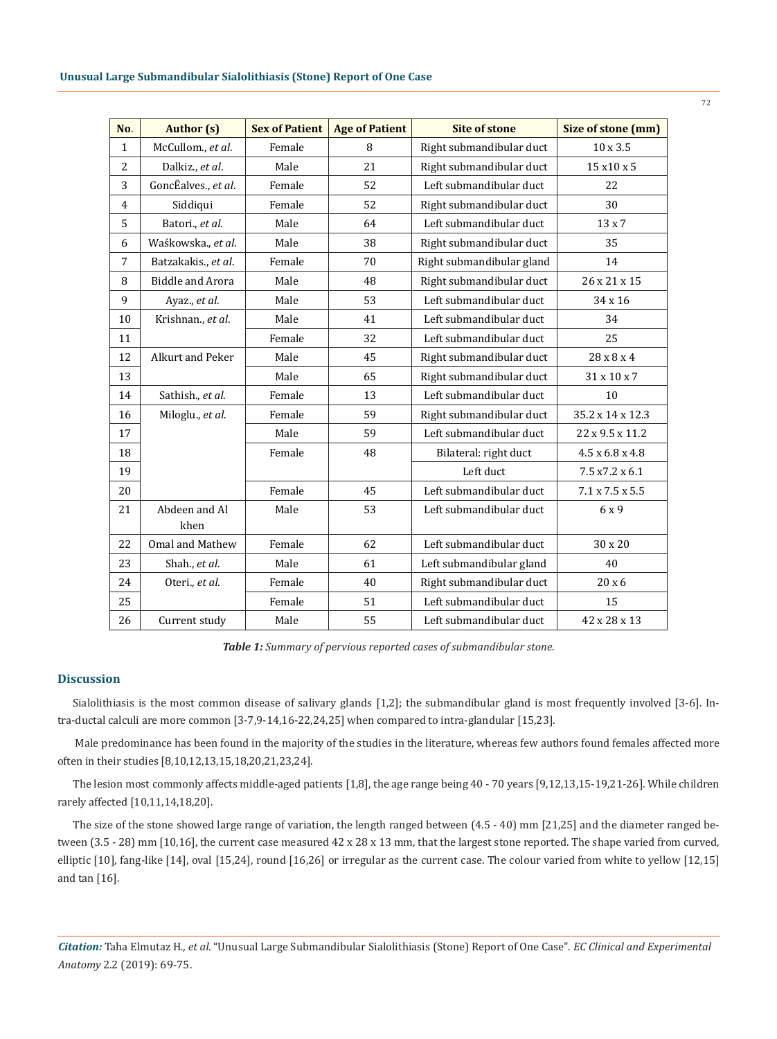| No.            | <b>Author</b> (s)       | <b>Sex of Patient</b> | <b>Age of Patient</b> | <b>Site of stone</b>      | Size of stone (mm)          |
|----------------|-------------------------|-----------------------|-----------------------|---------------------------|-----------------------------|
| $\mathbf{1}$   | McCullom., et al.       | Female                | 8                     | Right submandibular duct  | $10 \times 3.5$             |
| 2              | Dalkiz., et al.         | Male                  | 21                    | Right submandibular duct  | 15 x 10 x 5                 |
| 3              | GoncËalves., et al.     | Female                | 52                    | Left submandibular duct   | 22                          |
| $\overline{4}$ | Siddiqui                | Female                | 52                    | Right submandibular duct  | 30                          |
| 5              | Batori., et al.         | Male                  | 64                    | Left submandibular duct   | $13 \times 7$               |
| 6              | Waśkowska., et al.      | Male                  | 38                    | Right submandibular duct  | 35                          |
| 7              | Batzakakis., et al.     | Female                | 70                    | Right submandibular gland | 14                          |
| 8              | <b>Biddle and Arora</b> | Male                  | 48                    | Right submandibular duct  | 26 x 21 x 15                |
| 9              | Ayaz., et al.           | Male                  | 53                    | Left submandibular duct   | 34 x 16                     |
| 10             | Krishnan., et al.       | Male                  | 41                    | Left submandibular duct   | 34                          |
| 11             |                         | Female                | 32                    | Left submandibular duct   | 25                          |
| 12             | Alkurt and Peker        | Male                  | 45                    | Right submandibular duct  | 28 x 8 x 4                  |
| 13             |                         | Male                  | 65                    | Right submandibular duct  | 31 x 10 x 7                 |
| 14             | Sathish., et al.        | Female                | 13                    | Left submandibular duct   | 10                          |
| 16             | Miloglu., et al.        | Female                | 59                    | Right submandibular duct  | 35.2 x 14 x 12.3            |
| 17             |                         | Male                  | 59                    | Left submandibular duct   | 22 x 9.5 x 11.2             |
| 18             |                         | Female                | 48                    | Bilateral: right duct     | $4.5 \times 6.8 \times 4.8$ |
| 19             |                         |                       |                       | Left duct                 | 7.5 x7.2 x 6.1              |
| 20             |                         | Female                | 45                    | Left submandibular duct   | $7.1 \times 7.5 \times 5.5$ |
| 21             | Abdeen and Al<br>khen   | Male                  | 53                    | Left submandibular duct   | 6 x 9                       |
| 22             | Omal and Mathew         | Female                | 62                    | Left submandibular duct   | 30 x 20                     |
| 23             | Shah., et al.           | Male                  | 61                    | Left submandibular gland  | 40                          |
| 24             | Oteri., et al.          | Female                | 40                    | Right submandibular duct  | 20x6                        |
| 25             |                         | Female                | 51                    | Left submandibular duct   | 15                          |
| 26             | Current study           | Male                  | 55                    | Left submandibular duct   | 42 x 28 x 13                |

*Table 1: Summary of pervious reported cases of submandibular stone.*

## **Discussion**

Sialolithiasis is the most common disease of salivary glands [1,2]; the submandibular gland is most frequently involved [3-6]. Intra-ductal calculi are more common [3-7,9-14,16-22,24,25] when compared to intra-glandular [15,23].

 Male predominance has been found in the majority of the studies in the literature, whereas few authors found females affected more often in their studies [8,10,12,13,15,18,20,21,23,24].

The lesion most commonly affects middle-aged patients [1,8], the age range being 40 - 70 years [9,12,13,15-19,21-26]. While children rarely affected [10,11,14,18,20].

The size of the stone showed large range of variation, the length ranged between (4.5 - 40) mm [21,25] and the diameter ranged between (3.5 - 28) mm [10,16], the current case measured 42 x 28 x 13 mm, that the largest stone reported. The shape varied from curved, elliptic [10], fang-like [14], oval [15,24], round [16,26] or irregular as the current case. The colour varied from white to yellow [12,15] and tan [16].

*Citation:* Taha Elmutaz H*., et al.* "Unusual Large Submandibular Sialolithiasis (Stone) Report of One Case". *EC Clinical and Experimental Anatomy* 2.2 (2019): 69-75.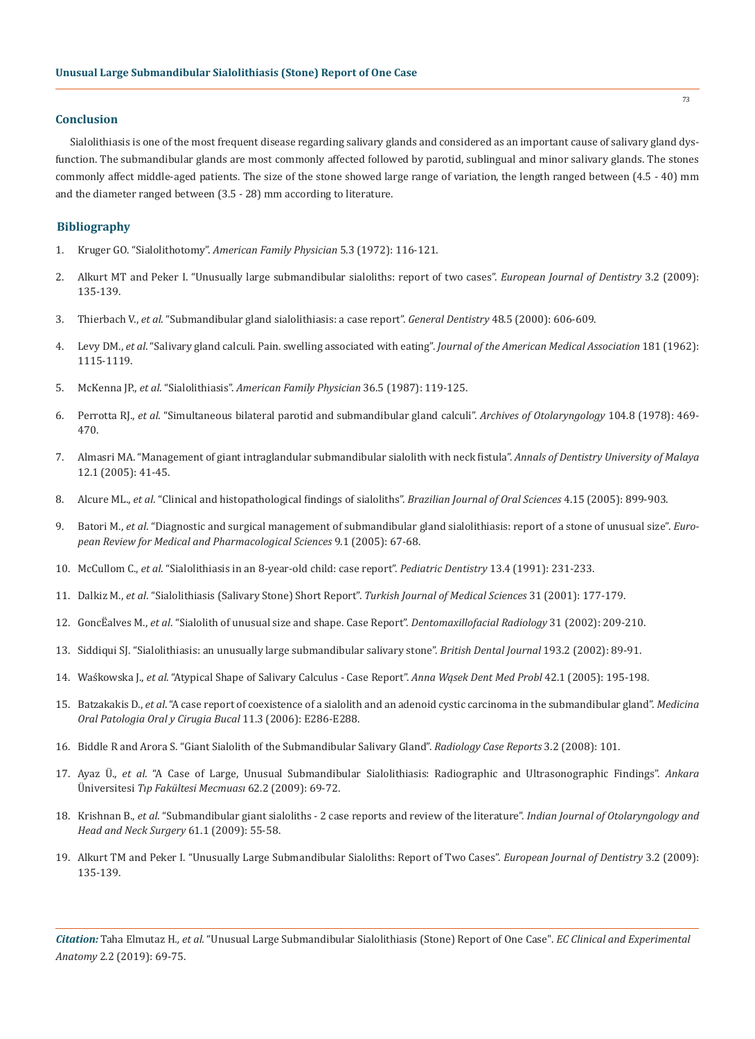#### **Conclusion**

Sialolithiasis is one of the most frequent disease regarding salivary glands and considered as an important cause of salivary gland dysfunction. The submandibular glands are most commonly affected followed by parotid, sublingual and minor salivary glands. The stones commonly affect middle-aged patients. The size of the stone showed large range of variation, the length ranged between (4.5 - 40) mm and the diameter ranged between (3.5 - 28) mm according to literature.

### **Bibliography**

- 1. Kruger GO. "Sialolithotomy". *American Family Physician* 5.3 (1972): 116-121.
- 2. Alkurt MT and Peker I. "Unusually large submandibular sialoliths: report of two cases". *European Journal of Dentistry* 3.2 (2009): 135-139.
- 3. Thierbach V., *et al*. "Submandibular gland sialolithiasis: a case report". *General Dentistry* 48.5 (2000): 606-609.
- 4. Levy DM., *et al*. "Salivary gland calculi. Pain. swelling associated with eating". *Journal of the American Medical Association* 181 (1962): 1115-1119.
- 5. McKenna JP., *et al*. "Sialolithiasis". *American Family Physician* 36.5 (1987): 119-125.
- 6. Perrotta RJ., *et al*. "Simultaneous bilateral parotid and submandibular gland calculi". *Archives of Otolaryngology* 104.8 (1978): 469- 470.
- 7. Almasri MA. "Management of giant intraglandular submandibular sialolith with neck fistula". *Annals of Dentistry University of Malaya* 12.1 (2005): 41-45.
- 8. Alcure ML., *et al*. "Clinical and histopathological findings of sialoliths". *Brazilian Journal of Oral Sciences* 4.15 (2005): 899-903.
- 9. Batori M., *et al*. "Diagnostic and surgical management of submandibular gland sialolithiasis: report of a stone of unusual size". *European Review for Medical and Pharmacological Sciences* 9.1 (2005): 67-68.
- 10. McCullom C., *et al*. "Sialolithiasis in an 8-year-old child: case report". *Pediatric Dentistry* 13.4 (1991): 231-233.
- 11. Dalkiz M., *et al*. "Sialolithiasis (Salivary Stone) Short Report". *Turkish Journal of Medical Sciences* 31 (2001): 177-179.
- 12. GoncËalves M., *et al*. "Sialolith of unusual size and shape. Case Report". *Dentomaxillofacial Radiology* 31 (2002): 209-210.
- 13. Siddiqui SJ. "Sialolithiasis: an unusually large submandibular salivary stone". *British Dental Journal* 193.2 (2002): 89-91.
- 14. Waśkowska J., *et al*. "Atypical Shape of Salivary Calculus Case Report". *Anna Wąsek Dent Med Probl* 42.1 (2005): 195-198.
- 15. Batzakakis D., *et al*. "A case report of coexistence of a sialolith and an adenoid cystic carcinoma in the submandibular gland". *Medicina Oral Patologia Oral y Cirugia Bucal* 11.3 (2006): E286-E288.
- 16. Biddle R and Arora S. "Giant Sialolith of the Submandibular Salivary Gland". *Radiology Case Reports* 3.2 (2008): 101.
- 17. Ayaz Ü., *et al*. "A Case of Large, Unusual Submandibular Sialolithiasis: Radiographic and Ultrasonographic Findings". *Ankara*  Üniversitesi *Tıp Fakültesi Mecmuası* 62.2 (2009): 69-72.
- 18. Krishnan B., *et al*. "Submandibular giant sialoliths 2 case reports and review of the literature". *Indian Journal of Otolaryngology and Head and Neck Surgery* 61.1 (2009): 55-58.
- 19. Alkurt TM and Peker I. "Unusually Large Submandibular Sialoliths: Report of Two Cases". *European Journal of Dentistry* 3.2 (2009): 135-139.

*Citation:* Taha Elmutaz H*., et al.* "Unusual Large Submandibular Sialolithiasis (Stone) Report of One Case". *EC Clinical and Experimental Anatomy* 2.2 (2019): 69-75.